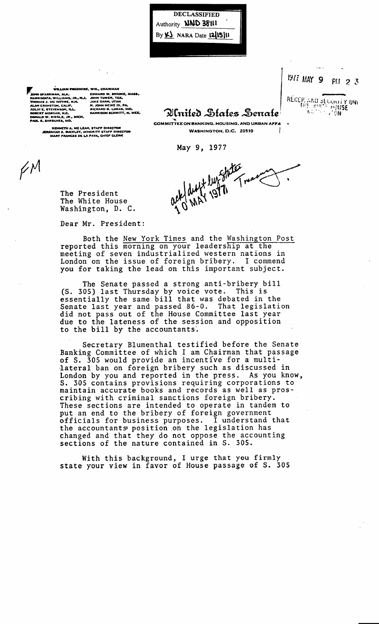**DECLASSIFIED** Authority **NND 38111** By  $\underline{\mathsf{Y}}$  NARA Date 12/15/11

IAN, ALA<mark>.</mark><br>WILLIAMS, -IF.<br>NSOM, ILL.<br>N, N.C

EDWARD W. BROOKE,<br>JOHN TOWER, TEX,<br>JAKE GARN, UTAH<br>H. JOHN HEINZ III, PA,<br>RICHARD G. LUGAR, IN KE, MASS. RICHARD G. LUGAR, IND.<br>HARRISON SCHMITT, H. MEX.

KENNETH A. MC LEAN, STAFF DIRECTOR<br>IMIAH 8, BUCKLEY, MINORITY STAFF DIRECTOR<br>MARY FRANCES DE LA PAYA, CHIEF CLERK

1977 MAY 9 PLI  $23$ RÉCEP AND SELUNITY UNIT

Alnited States Senate **COMMITTEE ON BANKING, HOUSING, AND URBAN AFFA** WASHINGTON, D.C. 20510

ack duff lunchen

May 9, 1977

 $\big/ \mathcal{N}$ 

The President The White House Washington, D. C.

Dear Mr. President:

Both the New York Times and the Washington Post reported this morning on your leadership at the meeting of seven industrialized western nations in London on the issue of foreign bribery. I commend you for taking the lead on this important subject.

The Senate passed a strong anti-bribery bill (S. 305) last Thursday by voice vote. This is<br>essentially the same bill that was debated in the<br>Senate last year and passed 86-0. That legislation did not pass out of the House Committee last year due to the lateness of the session and opposition to the bill by the accountants.

Secretary Blumenthal testified before the Senate Banking Committee of which I am Chairman that passage of S. 305 would provide an incentive for a multilateral ban on foreign bribery such as discussed in London by you and reported in the press. As you know, S. 305 contains provisions requiring corporations to maintain accurate books and records as well as proscribing with criminal sanctions foreign bribery. These sections are intended to operate in tandem to put an end to the bribery of foreign government officials for business purposes. I understand that<br>the accountants position on the legislation has changed and that they do not oppose the accounting sections of the nature contained in S. 305.

With this background, I urge that you firmly<br>state your view in favor of House passage of S. 305